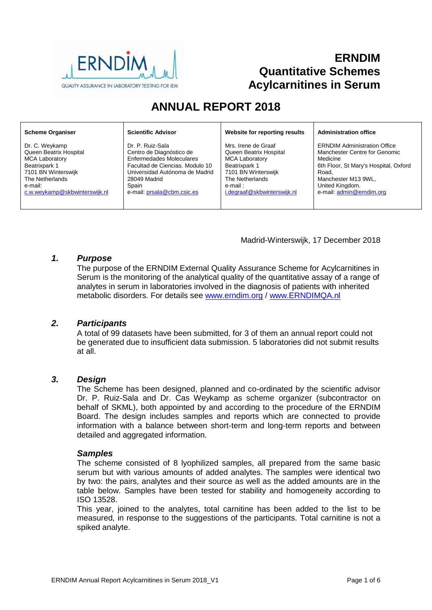

# **ERNDIM Quantitative Schemes Acylcarnitines in Serum**

# **ANNUAL REPORT 2018**

#### **Scheme Organiser**

Dr. C. Weykamp Queen Beatrix Hospital MCA Laboratory Beatrixpark 1 7101 BN Winterswijk The Netherlands e-mail: [c.w.weykamp@skbwinterswijk.nl](mailto:c.w.weykamp@skbwinterswijk.nl)

#### **Scientific Advisor**

Dr. P. Ruiz-Sala Centro de Diagnóstico de Enfermedades Moleculares Facultad de Ciencias. Modulo 10 Universidad Autónoma de Madrid 28049 Madrid Spain e-mail[: prsala@cbm.csic.es](mailto:prsala@cbm.csic.es)

#### **Website for reporting results**

Mrs. Irene de Graaf Queen Beatrix Hospital MCA Laboratory Beatrixpark 1 7101 BN Winterswijk The Netherlands e-mail : [i.degraaf@skbwinterswijk.nl](mailto:i.degraaf@skbwinterswijk.nl)

#### **Administration office**

ERNDIM Administration Office Manchester Centre for Genomic Medicine 6th Floor, St Mary's Hospital, Oxford Road, Manchester M13 9WL, United Kingdom. e-mail: [admin@erndim.org](mailto:admin@erndim.org)

# Madrid-Winterswijk, 17 December 2018

## *1. Purpose*

The purpose of the ERNDIM External Quality Assurance Scheme for Acylcarnitines in Serum is the monitoring of the analytical quality of the quantitative assay of a range of analytes in serum in laboratories involved in the diagnosis of patients with inherited metabolic disorders. For details see [www.erndim.o](http://www.erndim.unibas.ch/)rg / [www.ERNDIMQA.nl](http://www.erndimqa.nl/)

## *2. Participants*

A total of 99 datasets have been submitted, for 3 of them an annual report could not be generated due to insufficient data submission. 5 laboratories did not submit results at all.

## *3. Design*

The Scheme has been designed, planned and co-ordinated by the scientific advisor Dr. P. Ruiz-Sala and Dr. Cas Weykamp as scheme organizer (subcontractor on behalf of SKML), both appointed by and according to the procedure of the ERNDIM Board. The design includes samples and reports which are connected to provide information with a balance between short-term and long-term reports and between detailed and aggregated information.

## *Samples*

The scheme consisted of 8 lyophilized samples, all prepared from the same basic serum but with various amounts of added analytes. The samples were identical two by two: the pairs, analytes and their source as well as the added amounts are in the table below. Samples have been tested for stability and homogeneity according to ISO 13528.

This year, joined to the analytes, total carnitine has been added to the list to be measured, in response to the suggestions of the participants. Total carnitine is not a spiked analyte.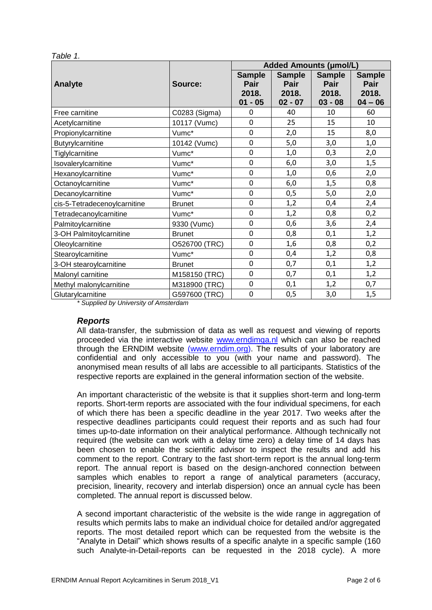| able |  |
|------|--|
|      |  |

|                              |               | <b>Added Amounts (µmol/L)</b> |               |               |               |
|------------------------------|---------------|-------------------------------|---------------|---------------|---------------|
|                              |               | <b>Sample</b>                 | <b>Sample</b> | <b>Sample</b> | <b>Sample</b> |
| <b>Analyte</b>               | Source:       | Pair                          | Pair          | Pair          | Pair          |
|                              |               | 2018.                         | 2018.         | 2018.         | 2018.         |
|                              |               | $01 - 05$                     | $02 - 07$     | $03 - 08$     | $04 - 06$     |
| Free carnitine               | C0283 (Sigma) | 0                             | 40            | 10            | 60            |
| Acetylcarnitine              | 10117 (Vumc)  | $\mathbf 0$                   | 25            | 15            | 10            |
| Propionylcarnitine           | Vumc*         | $\overline{0}$                | 2,0           | 15            | 8,0           |
| Butyrylcarnitine             | 10142 (Vumc)  | $\mathbf 0$                   | 5,0           | 3,0           | 1,0           |
| Tiglylcarnitine              | Vumc*         | $\mathbf 0$                   | 1,0           | 0,3           | 2,0           |
| Isovalerylcarnitine          | Vumc*         | $\overline{0}$                | 6,0           | 3,0           | 1,5           |
| Hexanoylcarnitine            | Vumc*         | $\mathbf 0$                   | 1,0           | 0,6           | 2,0           |
| Octanoylcarnitine            | Vumc*         | $\overline{0}$                | 6,0           | 1,5           | 0,8           |
| Decanoylcarnitine            | Vumc*         | $\mathbf 0$                   | 0,5           | 5,0           | 2,0           |
| cis-5-Tetradecenoylcarnitine | <b>Brunet</b> | $\mathbf 0$                   | 1,2           | 0,4           | 2,4           |
| Tetradecanoylcarnitine       | Vumc*         | $\mathbf 0$                   | 1,2           | 0,8           | 0,2           |
| Palmitoylcarnitine           | 9330 (Vumc)   | $\mathbf 0$                   | 0,6           | 3,6           | 2,4           |
| 3-OH Palmitoylcarnitine      | <b>Brunet</b> | $\overline{0}$                | 0,8           | 0,1           | 1,2           |
| Oleoylcarnitine              | O526700 (TRC) | $\mathbf 0$                   | 1,6           | 0,8           | 0,2           |
| Stearoylcarnitine            | Vumc*         | $\overline{0}$                | 0,4           | 1,2           | 0,8           |
| 3-OH stearoylcarnitine       | <b>Brunet</b> | $\overline{0}$                | 0,7           | 0,1           | 1,2           |
| Malonyl carnitine            | M158150 (TRC) | $\overline{0}$                | 0,7           | 0,1           | 1,2           |
| Methyl malonylcarnitine      | M318900 (TRC) | $\mathbf 0$                   | 0,1           | 1,2           | 0,7           |
| Glutarylcarnitine            | G597600 (TRC) | $\mathbf 0$                   | 0,5           | 3,0           | 1,5           |

*\* Supplied by University of Amsterdam*

## *Reports*

All data-transfer, the submission of data as well as request and viewing of reports proceeded via the interactive website [www.erndimqa.nl](http://www.erndimqa.nl/) which can also be reached through the ERNDIM website [\(www.erndim.org\)](http://www.erndim.org/). The results of your laboratory are confidential and only accessible to you (with your name and password). The anonymised mean results of all labs are accessible to all participants. Statistics of the respective reports are explained in the general information section of the website.

An important characteristic of the website is that it supplies short-term and long-term reports. Short-term reports are associated with the four individual specimens, for each of which there has been a specific deadline in the year 2017. Two weeks after the respective deadlines participants could request their reports and as such had four times up-to-date information on their analytical performance. Although technically not required (the website can work with a delay time zero) a delay time of 14 days has been chosen to enable the scientific advisor to inspect the results and add his comment to the report. Contrary to the fast short-term report is the annual long-term report. The annual report is based on the design-anchored connection between samples which enables to report a range of analytical parameters (accuracy, precision, linearity, recovery and interlab dispersion) once an annual cycle has been completed. The annual report is discussed below.

A second important characteristic of the website is the wide range in aggregation of results which permits labs to make an individual choice for detailed and/or aggregated reports. The most detailed report which can be requested from the website is the "Analyte in Detail" which shows results of a specific analyte in a specific sample (160 such Analyte-in-Detail-reports can be requested in the 2018 cycle). A more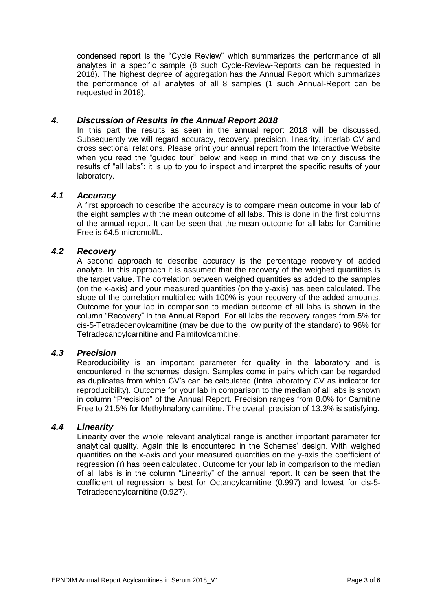condensed report is the "Cycle Review" which summarizes the performance of all analytes in a specific sample (8 such Cycle-Review-Reports can be requested in 2018). The highest degree of aggregation has the Annual Report which summarizes the performance of all analytes of all 8 samples (1 such Annual-Report can be requested in 2018).

# *4. Discussion of Results in the Annual Report 2018*

In this part the results as seen in the annual report 2018 will be discussed. Subsequently we will regard accuracy, recovery, precision, linearity, interlab CV and cross sectional relations. Please print your annual report from the Interactive Website when you read the "quided tour" below and keep in mind that we only discuss the results of "all labs": it is up to you to inspect and interpret the specific results of your laboratory.

## *4.1 Accuracy*

A first approach to describe the accuracy is to compare mean outcome in your lab of the eight samples with the mean outcome of all labs. This is done in the first columns of the annual report. It can be seen that the mean outcome for all labs for Carnitine Free is 64.5 micromol/L.

# *4.2 Recovery*

A second approach to describe accuracy is the percentage recovery of added analyte. In this approach it is assumed that the recovery of the weighed quantities is the target value. The correlation between weighed quantities as added to the samples (on the x-axis) and your measured quantities (on the y-axis) has been calculated. The slope of the correlation multiplied with 100% is your recovery of the added amounts. Outcome for your lab in comparison to median outcome of all labs is shown in the column "Recovery" in the Annual Report. For all labs the recovery ranges from 5% for cis-5-Tetradecenoylcarnitine (may be due to the low purity of the standard) to 96% for Tetradecanoylcarnitine and Palmitoylcarnitine.

# *4.3 Precision*

Reproducibility is an important parameter for quality in the laboratory and is encountered in the schemes' design. Samples come in pairs which can be regarded as duplicates from which CV's can be calculated (Intra laboratory CV as indicator for reproducibility). Outcome for your lab in comparison to the median of all labs is shown in column "Precision" of the Annual Report. Precision ranges from 8.0% for Carnitine Free to 21.5% for Methylmalonylcarnitine. The overall precision of 13.3% is satisfying.

## *4.4 Linearity*

Linearity over the whole relevant analytical range is another important parameter for analytical quality. Again this is encountered in the Schemes' design. With weighed quantities on the x-axis and your measured quantities on the y-axis the coefficient of regression (r) has been calculated. Outcome for your lab in comparison to the median of all labs is in the column "Linearity" of the annual report. It can be seen that the coefficient of regression is best for Octanoylcarnitine (0.997) and lowest for cis-5- Tetradecenoylcarnitine (0.927).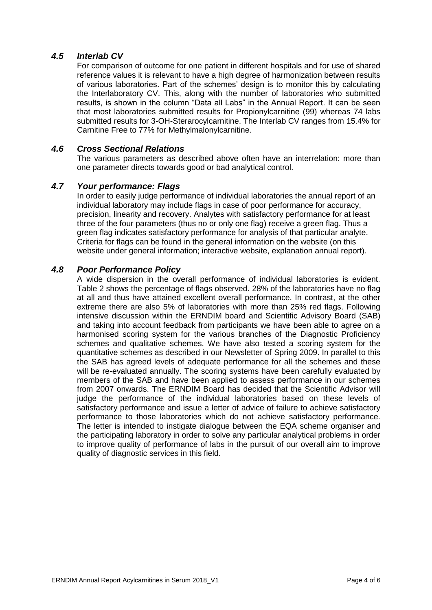# *4.5 Interlab CV*

For comparison of outcome for one patient in different hospitals and for use of shared reference values it is relevant to have a high degree of harmonization between results of various laboratories. Part of the schemes' design is to monitor this by calculating the Interlaboratory CV. This, along with the number of laboratories who submitted results, is shown in the column "Data all Labs" in the Annual Report. It can be seen that most laboratories submitted results for Propionylcarnitine (99) whereas 74 labs submitted results for 3-OH-Sterarocylcarnitine. The Interlab CV ranges from 15.4% for Carnitine Free to 77% for Methylmalonylcarnitine.

## *4.6 Cross Sectional Relations*

The various parameters as described above often have an interrelation: more than one parameter directs towards good or bad analytical control.

# *4.7 Your performance: Flags*

In order to easily judge performance of individual laboratories the annual report of an individual laboratory may include flags in case of poor performance for accuracy, precision, linearity and recovery. Analytes with satisfactory performance for at least three of the four parameters (thus no or only one flag) receive a green flag. Thus a green flag indicates satisfactory performance for analysis of that particular analyte. Criteria for flags can be found in the general information on the website (on this website under general information; interactive website, explanation annual report).

## *4.8 Poor Performance Policy*

A wide dispersion in the overall performance of individual laboratories is evident. Table 2 shows the percentage of flags observed. 28% of the laboratories have no flag at all and thus have attained excellent overall performance. In contrast, at the other extreme there are also 5% of laboratories with more than 25% red flags. Following intensive discussion within the ERNDIM board and Scientific Advisory Board (SAB) and taking into account feedback from participants we have been able to agree on a harmonised scoring system for the various branches of the Diagnostic Proficiency schemes and qualitative schemes. We have also tested a scoring system for the quantitative schemes as described in our Newsletter of Spring 2009. In parallel to this the SAB has agreed levels of adequate performance for all the schemes and these will be re-evaluated annually. The scoring systems have been carefully evaluated by members of the SAB and have been applied to assess performance in our schemes from 2007 onwards. The ERNDIM Board has decided that the Scientific Advisor will judge the performance of the individual laboratories based on these levels of satisfactory performance and issue a letter of advice of failure to achieve satisfactory performance to those laboratories which do not achieve satisfactory performance. The letter is intended to instigate dialogue between the EQA scheme organiser and the participating laboratory in order to solve any particular analytical problems in order to improve quality of performance of labs in the pursuit of our overall aim to improve quality of diagnostic services in this field.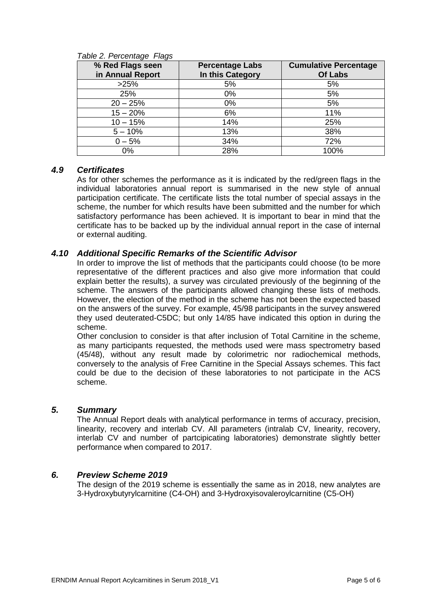| % Red Flags seen | <b>Percentage Labs</b> | <b>Cumulative Percentage</b> |
|------------------|------------------------|------------------------------|
| in Annual Report | In this Category       | <b>Of Labs</b>               |
| >25%             | 5%                     | 5%                           |
| 25%              | 0%                     | 5%                           |
| $20 - 25%$       | 0%                     | 5%                           |
| $15 - 20%$       | 6%                     | 11%                          |
| $10 - 15%$       | 14%                    | 25%                          |
| $5 - 10%$        | 13%                    | 38%                          |
| $0 - 5%$         | 34%                    | 72%                          |
| 0%               | 28%                    | 100%                         |

#### *Table 2. Percentage Flags*

# *4.9 Certificates*

As for other schemes the performance as it is indicated by the red/green flags in the individual laboratories annual report is summarised in the new style of annual participation certificate. The certificate lists the total number of special assays in the scheme, the number for which results have been submitted and the number for which satisfactory performance has been achieved. It is important to bear in mind that the certificate has to be backed up by the individual annual report in the case of internal or external auditing.

# *4.10 Additional Specific Remarks of the Scientific Advisor*

In order to improve the list of methods that the participants could choose (to be more representative of the different practices and also give more information that could explain better the results), a survey was circulated previously of the beginning of the scheme. The answers of the participants allowed changing these lists of methods. However, the election of the method in the scheme has not been the expected based on the answers of the survey. For example, 45/98 participants in the survey answered they used deuterated-C5DC; but only 14/85 have indicated this option in during the scheme.

Other conclusion to consider is that after inclusion of Total Carnitine in the scheme, as many participants requested, the methods used were mass spectrometry based (45/48), without any result made by colorimetric nor radiochemical methods, conversely to the analysis of Free Carnitine in the Special Assays schemes. This fact could be due to the decision of these laboratories to not participate in the ACS scheme.

## *5. Summary*

The Annual Report deals with analytical performance in terms of accuracy, precision, linearity, recovery and interlab CV. All parameters (intralab CV, linearity, recovery, interlab CV and number of partcipicating laboratories) demonstrate slightly better performance when compared to 2017.

# *6. Preview Scheme 2019*

The design of the 2019 scheme is essentially the same as in 2018, new analytes are 3-Hydroxybutyrylcarnitine (C4-OH) and 3-Hydroxyisovaleroylcarnitine (C5-OH)